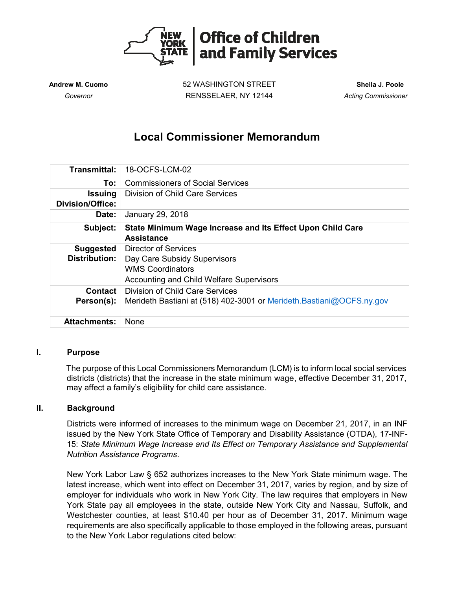

**Andrew M. Cuomo** 52 WASHINGTON STREET **Sheila J. Poole**  *Governor* RENSSELAER, NY 12144 *Acting Commissioner* 

# **Local Commissioner Memorandum**

| <b>Transmittal:</b>                       | 18-OCFS-LCM-02                                                                  |
|-------------------------------------------|---------------------------------------------------------------------------------|
| To:                                       | <b>Commissioners of Social Services</b>                                         |
| <b>Issuing</b><br><b>Division/Office:</b> | Division of Child Care Services                                                 |
| Date:                                     | January 29, 2018                                                                |
| Subject:                                  | State Minimum Wage Increase and Its Effect Upon Child Care<br><b>Assistance</b> |
| <b>Suggested</b>                          | Director of Services                                                            |
| <b>Distribution:</b>                      | Day Care Subsidy Supervisors                                                    |
|                                           | <b>WMS Coordinators</b>                                                         |
|                                           | Accounting and Child Welfare Supervisors                                        |
| Contact                                   | Division of Child Care Services                                                 |
| Person(s):                                | Merideth Bastiani at (518) 402-3001 or Merideth. Bastiani@OCFS.ny.gov           |
| <b>Attachments:</b>                       | None                                                                            |

#### **I. Purpose**

The purpose of this Local Commissioners Memorandum (LCM) is to inform local social services districts (districts) that the increase in the state minimum wage, effective December 31, 2017, may affect a family's eligibility for child care assistance.

#### **II. Background**

Districts were informed of increases to the minimum wage on December 21, 2017, in an INF issued by the New York State Office of Temporary and Disability Assistance (OTDA), 17-INF-15: *State Minimum Wage Increase and Its Effect on Temporary Assistance and Supplemental Nutrition Assistance Programs*.

New York Labor Law § 652 authorizes increases to the New York State minimum wage. The latest increase, which went into effect on December 31, 2017, varies by region, and by size of employer for individuals who work in New York City. The law requires that employers in New York State pay all employees in the state, outside New York City and Nassau, Suffolk, and Westchester counties, at least \$10.40 per hour as of December 31, 2017. Minimum wage requirements are also specifically applicable to those employed in the following areas, pursuant to the New York Labor regulations cited below: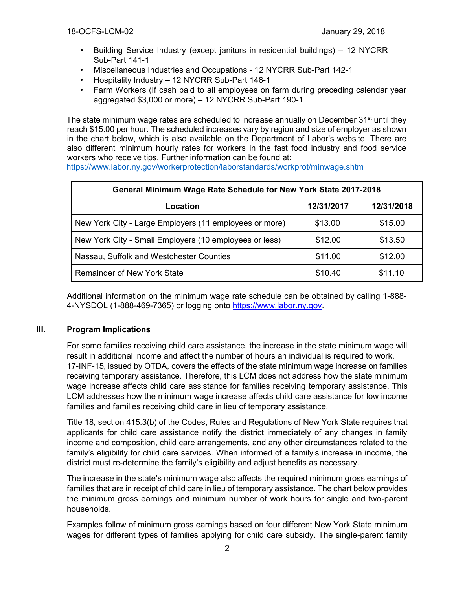- Building Service Industry (except janitors in residential buildings) 12 NYCRR Sub-Part 141-1
- Miscellaneous Industries and Occupations 12 NYCRR Sub-Part 142-1
- Hospitality Industry 12 NYCRR Sub-Part 146-1
- Farm Workers (If cash paid to all employees on farm during preceding calendar year aggregated \$3,000 or more) – 12 NYCRR Sub-Part 190-1

The state minimum wage rates are scheduled to increase annually on December 31<sup>st</sup> until they reach \$15.00 per hour. The scheduled increases vary by region and size of employer as shown in the chart below, which is also available on the Department of Labor's website. There are also different minimum hourly rates for workers in the fast food industry and food service workers who receive tips. Further information can be found at:

<https://www.labor.ny.gov/workerprotection/laborstandards/workprot/minwage.shtm>

| General Minimum Wage Rate Schedule for New York State 2017-2018 |            |            |  |  |  |  |
|-----------------------------------------------------------------|------------|------------|--|--|--|--|
| Location                                                        | 12/31/2017 | 12/31/2018 |  |  |  |  |
| New York City - Large Employers (11 employees or more)          | \$13.00    | \$15.00    |  |  |  |  |
| New York City - Small Employers (10 employees or less)          | \$12.00    | \$13.50    |  |  |  |  |
| Nassau, Suffolk and Westchester Counties                        | \$11.00    | \$12.00    |  |  |  |  |
| <b>Remainder of New York State</b>                              | \$10.40    | \$11.10    |  |  |  |  |

Additional information on the minimum wage rate schedule can be obtained by calling 1-888- 4-NYSDOL (1-888-469-7365) or logging onto https://www.labor.ny.gov.

## **III. Program Implications**

For some families receiving child care assistance, the increase in the state minimum wage will result in additional income and affect the number of hours an individual is required to work. 17-INF-15, issued by OTDA, covers the effects of the state minimum wage increase on families receiving temporary assistance. Therefore, this LCM does not address how the state minimum wage increase affects child care assistance for families receiving temporary assistance. This LCM addresses how the minimum wage increase affects child care assistance for low income families and families receiving child care in lieu of temporary assistance.

Title 18, section 415.3(b) of the Codes, Rules and Regulations of New York State requires that applicants for child care assistance notify the district immediately of any changes in family income and composition, child care arrangements, and any other circumstances related to the family's eligibility for child care services. When informed of a family's increase in income, the district must re-determine the family's eligibility and adjust benefits as necessary.

The increase in the state's minimum wage also affects the required minimum gross earnings of families that are in receipt of child care in lieu of temporary assistance. The chart below provides the minimum gross earnings and minimum number of work hours for single and two-parent households.

Examples follow of minimum gross earnings based on four different New York State minimum wages for different types of families applying for child care subsidy. The single-parent family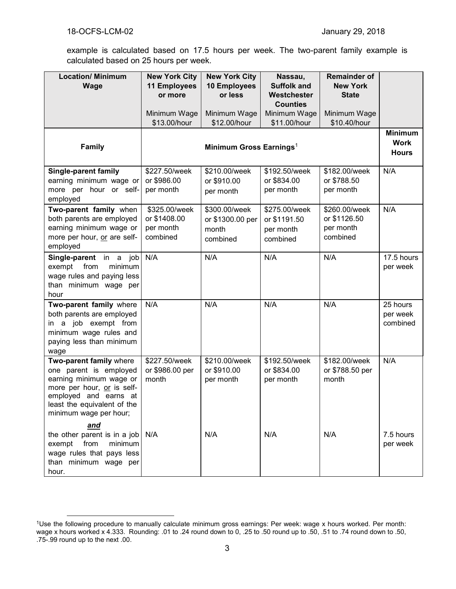$\overline{a}$ 

example is calculated based on 17.5 hours per week. The two-parent family example is calculated based on 25 hours per week.

| <b>Location/ Minimum</b><br>Wage                                                                                                                                                             | <b>New York City</b><br><b>11 Employees</b><br>or more | <b>New York City</b><br>10 Employees<br>or less        | Nassau,<br><b>Suffolk and</b><br>Westchester<br><b>Counties</b> | <b>Remainder of</b><br><b>New York</b><br><b>State</b> |                                  |
|----------------------------------------------------------------------------------------------------------------------------------------------------------------------------------------------|--------------------------------------------------------|--------------------------------------------------------|-----------------------------------------------------------------|--------------------------------------------------------|----------------------------------|
|                                                                                                                                                                                              | Minimum Wage<br>\$13.00/hour                           | Minimum Wage<br>\$12.00/hour                           | Minimum Wage<br>\$11.00/hour                                    | Minimum Wage<br>\$10.40/hour                           |                                  |
| <b>Family</b>                                                                                                                                                                                | Minimum Gross Earnings <sup>1</sup>                    |                                                        |                                                                 |                                                        |                                  |
| <b>Single-parent family</b><br>earning minimum wage or<br>more per hour or self-<br>employed                                                                                                 | \$227.50/week<br>or \$986.00<br>per month              | \$210.00/week<br>or \$910.00<br>per month              | \$192.50/week<br>or \$834.00<br>per month                       | \$182.00/week<br>or \$788.50<br>per month              | N/A                              |
| Two-parent family when<br>both parents are employed<br>earning minimum wage or<br>more per hour, or are self-<br>employed                                                                    | \$325.00/week<br>or \$1408.00<br>per month<br>combined | \$300.00/week<br>or \$1300.00 per<br>month<br>combined | \$275.00/week<br>or \$1191.50<br>per month<br>combined          | \$260.00/week<br>or \$1126.50<br>per month<br>combined | N/A                              |
| Single-parent in a job<br>exempt<br>from<br>minimum<br>wage rules and paying less<br>than minimum wage per<br>hour                                                                           | N/A                                                    | N/A                                                    | N/A                                                             | N/A                                                    | 17.5 hours<br>per week           |
| Two-parent family where<br>both parents are employed<br>in a job exempt from<br>minimum wage rules and<br>paying less than minimum<br>wage                                                   | N/A                                                    | N/A                                                    | N/A                                                             | N/A                                                    | 25 hours<br>per week<br>combined |
| Two-parent family where<br>one parent is employed<br>earning minimum wage or<br>more per hour, or is self-<br>employed and earns at<br>least the equivalent of the<br>minimum wage per hour; | \$227.50/week<br>or \$986.00 per<br>month              | \$210.00/week<br>or \$910.00<br>per month              | \$192.50/week<br>or \$834.00<br>per month                       | \$182.00/week<br>or \$788.50 per<br>month              | N/A                              |
| <u>and</u><br>the other parent is in a job $N/A$<br>exempt from<br>minimum<br>wage rules that pays less<br>than minimum wage per<br>hour.                                                    |                                                        | N/A                                                    | N/A                                                             | N/A                                                    | 7.5 hours<br>per week            |

<sup>&</sup>lt;sup>1</sup>Use the following procedure to manually calculate minimum gross earnings: Per week: wage x hours worked. Per month: wage x hours worked x 4.333. Rounding: .01 to .24 round down to 0, .25 to .50 round up to .50, .51 to .74 round down to .50, .75-.99 round up to the next .00.